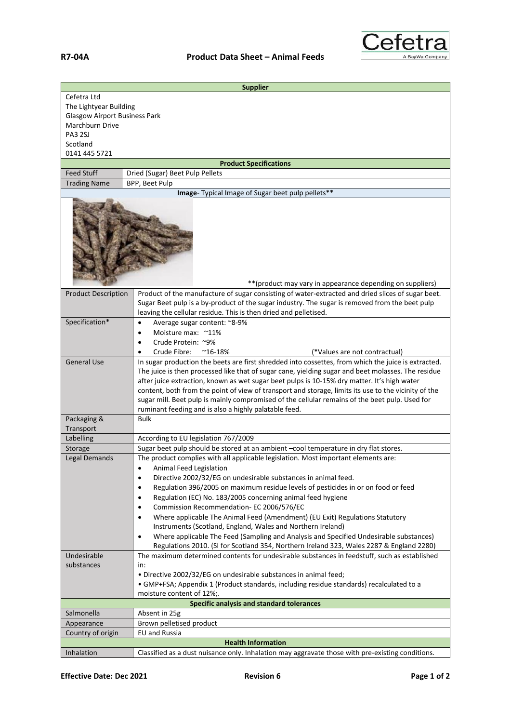

| <b>Supplier</b>                                   |                                                                                                                                                                                                                                                                                                                                                                                                                                                                      |  |  |
|---------------------------------------------------|----------------------------------------------------------------------------------------------------------------------------------------------------------------------------------------------------------------------------------------------------------------------------------------------------------------------------------------------------------------------------------------------------------------------------------------------------------------------|--|--|
| Cefetra Ltd                                       |                                                                                                                                                                                                                                                                                                                                                                                                                                                                      |  |  |
| The Lightyear Building                            |                                                                                                                                                                                                                                                                                                                                                                                                                                                                      |  |  |
| <b>Glasgow Airport Business Park</b>              |                                                                                                                                                                                                                                                                                                                                                                                                                                                                      |  |  |
| Marchburn Drive                                   |                                                                                                                                                                                                                                                                                                                                                                                                                                                                      |  |  |
| PA3 2SJ                                           |                                                                                                                                                                                                                                                                                                                                                                                                                                                                      |  |  |
| Scotland                                          |                                                                                                                                                                                                                                                                                                                                                                                                                                                                      |  |  |
| 0141 445 5721                                     |                                                                                                                                                                                                                                                                                                                                                                                                                                                                      |  |  |
| <b>Feed Stuff</b>                                 | <b>Product Specifications</b><br>Dried (Sugar) Beet Pulp Pellets                                                                                                                                                                                                                                                                                                                                                                                                     |  |  |
| <b>Trading Name</b>                               | BPP, Beet Pulp                                                                                                                                                                                                                                                                                                                                                                                                                                                       |  |  |
| Image- Typical Image of Sugar beet pulp pellets** |                                                                                                                                                                                                                                                                                                                                                                                                                                                                      |  |  |
|                                                   |                                                                                                                                                                                                                                                                                                                                                                                                                                                                      |  |  |
| <b>Product Description</b>                        | **(product may vary in appearance depending on suppliers)<br>Product of the manufacture of sugar consisting of water-extracted and dried slices of sugar beet.                                                                                                                                                                                                                                                                                                       |  |  |
|                                                   | Sugar Beet pulp is a by-product of the sugar industry. The sugar is removed from the beet pulp                                                                                                                                                                                                                                                                                                                                                                       |  |  |
|                                                   | leaving the cellular residue. This is then dried and pelletised.                                                                                                                                                                                                                                                                                                                                                                                                     |  |  |
| Specification*                                    | Average sugar content: ~8-9%<br>$\bullet$                                                                                                                                                                                                                                                                                                                                                                                                                            |  |  |
|                                                   | Moisture max: ~11%<br>$\bullet$                                                                                                                                                                                                                                                                                                                                                                                                                                      |  |  |
|                                                   | Crude Protein: ~9%                                                                                                                                                                                                                                                                                                                                                                                                                                                   |  |  |
|                                                   | Crude Fibre:<br>$^{\sim}$ 16-18%<br>(*Values are not contractual)                                                                                                                                                                                                                                                                                                                                                                                                    |  |  |
| <b>General Use</b>                                | In sugar production the beets are first shredded into cossettes, from which the juice is extracted.                                                                                                                                                                                                                                                                                                                                                                  |  |  |
|                                                   | The juice is then processed like that of sugar cane, yielding sugar and beet molasses. The residue<br>after juice extraction, known as wet sugar beet pulps is 10-15% dry matter. It's high water<br>content, both from the point of view of transport and storage, limits its use to the vicinity of the<br>sugar mill. Beet pulp is mainly compromised of the cellular remains of the beet pulp. Used for<br>ruminant feeding and is also a highly palatable feed. |  |  |
| Packaging &                                       | Bulk                                                                                                                                                                                                                                                                                                                                                                                                                                                                 |  |  |
| Transport                                         |                                                                                                                                                                                                                                                                                                                                                                                                                                                                      |  |  |
| Labelling                                         | According to EU legislation 767/2009                                                                                                                                                                                                                                                                                                                                                                                                                                 |  |  |
| Storage                                           | Sugar beet pulp should be stored at an ambient -cool temperature in dry flat stores.                                                                                                                                                                                                                                                                                                                                                                                 |  |  |
| Legal Demands                                     | The product complies with all applicable legislation. Most important elements are:                                                                                                                                                                                                                                                                                                                                                                                   |  |  |
|                                                   | Animal Feed Legislation<br>$\bullet$                                                                                                                                                                                                                                                                                                                                                                                                                                 |  |  |
|                                                   | Directive 2002/32/EG on undesirable substances in animal feed.<br>$\bullet$                                                                                                                                                                                                                                                                                                                                                                                          |  |  |
|                                                   | Regulation 396/2005 on maximum residue levels of pesticides in or on food or feed<br>٠                                                                                                                                                                                                                                                                                                                                                                               |  |  |
|                                                   | Regulation (EC) No. 183/2005 concerning animal feed hygiene<br>$\bullet$                                                                                                                                                                                                                                                                                                                                                                                             |  |  |
|                                                   | Commission Recommendation- EC 2006/576/EC<br>$\bullet$                                                                                                                                                                                                                                                                                                                                                                                                               |  |  |
|                                                   | Where applicable The Animal Feed (Amendment) (EU Exit) Regulations Statutory<br>$\bullet$                                                                                                                                                                                                                                                                                                                                                                            |  |  |
|                                                   | Instruments (Scotland, England, Wales and Northern Ireland)                                                                                                                                                                                                                                                                                                                                                                                                          |  |  |
|                                                   | Where applicable The Feed (Sampling and Analysis and Specified Undesirable substances)<br>$\bullet$                                                                                                                                                                                                                                                                                                                                                                  |  |  |
|                                                   | Regulations 2010. (SI for Scotland 354, Northern Ireland 323, Wales 2287 & England 2280)                                                                                                                                                                                                                                                                                                                                                                             |  |  |
| Undesirable                                       | The maximum determined contents for undesirable substances in feedstuff, such as established                                                                                                                                                                                                                                                                                                                                                                         |  |  |
| substances                                        | in:                                                                                                                                                                                                                                                                                                                                                                                                                                                                  |  |  |
|                                                   | · Directive 2002/32/EG on undesirable substances in animal feed;                                                                                                                                                                                                                                                                                                                                                                                                     |  |  |
|                                                   | • GMP+FSA; Appendix 1 (Product standards, including residue standards) recalculated to a<br>moisture content of 12%;.                                                                                                                                                                                                                                                                                                                                                |  |  |
| Specific analysis and standard tolerances         |                                                                                                                                                                                                                                                                                                                                                                                                                                                                      |  |  |
| Salmonella                                        | Absent in 25g                                                                                                                                                                                                                                                                                                                                                                                                                                                        |  |  |
| Appearance                                        | Brown pelletised product                                                                                                                                                                                                                                                                                                                                                                                                                                             |  |  |
| Country of origin                                 | <b>EU</b> and Russia                                                                                                                                                                                                                                                                                                                                                                                                                                                 |  |  |
| <b>Health Information</b>                         |                                                                                                                                                                                                                                                                                                                                                                                                                                                                      |  |  |
| Inhalation                                        | Classified as a dust nuisance only. Inhalation may aggravate those with pre-existing conditions.                                                                                                                                                                                                                                                                                                                                                                     |  |  |